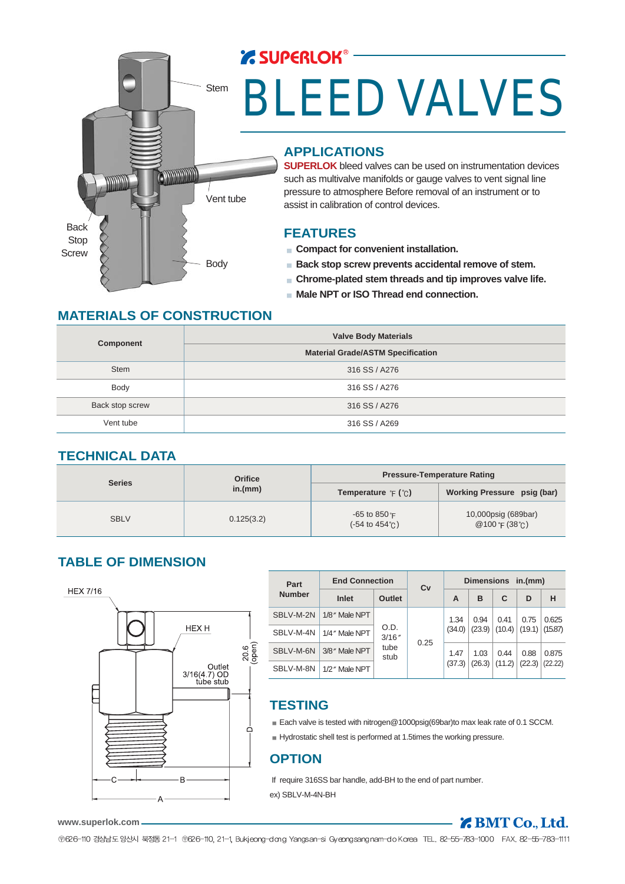

## **ZE SUPERLOK®** BLEED VALVES

### **APPLICATIONS**

**SUPERLOK** bleed valves can be used on instrumentation devices such as multivalve manifolds or gauge valves to vent signal line pressure to atmosphere Before removal of an instrument or to assist in calibration of control devices.

## **FEATURES**

- **Compact for convenient installation.**
- **Back stop screw prevents accidental remove of stem.**
- **Chrome-plated stem threads and tip improves valve life.**
- **Male NPT or ISO Thread end connection.**

## **MATERIALS OF CONSTRUCTION**

| <b>Component</b> | <b>Valve Body Materials</b>              |  |  |
|------------------|------------------------------------------|--|--|
|                  | <b>Material Grade/ASTM Specification</b> |  |  |
| Stem             | 316 SS / A276                            |  |  |
| Body             | 316 SS / A276                            |  |  |
| Back stop screw  | 316 SS / A276                            |  |  |
| Vent tube        | 316 SS / A269                            |  |  |

## **TECHNICAL DATA**

| <b>Series</b> | <b>Orifice</b><br>in.(mm) | <b>Pressure-Temperature Rating</b>                                    |                                                   |  |
|---------------|---------------------------|-----------------------------------------------------------------------|---------------------------------------------------|--|
|               |                           | <b>Temperature</b> $\in$ ( $\in$ )                                    | Working Pressure psig (bar)                       |  |
| <b>SBLV</b>   | 0.125(3.2)                | -65 to 850 $^{\circ}$ F<br>$(-54 \text{ to } 454^{\circ}$ $\text{C})$ | 10,000psig (689bar)<br>@ 100 °F (38 $^{\circ}$ C) |  |

## **TABLE OF DIMENSION**



| Part<br><b>Number</b> | <b>End Connection</b> |                                | Cv | <b>Dimensions</b><br>in.(mm) |        |        |        |         |         |
|-----------------------|-----------------------|--------------------------------|----|------------------------------|--------|--------|--------|---------|---------|
|                       | Inlet                 | <b>Outlet</b>                  |    | A                            | в      | C      | D      | н       |         |
| SBLV-M-2N             | 1/8" Male NPT         | O.D.<br>3/16''<br>tube<br>stub |    | 1.34                         | 0.94   | 0.41   | 0.75   | 0.625   |         |
| SBLV-M-4N             | 1/4" Male NPT         |                                |    |                              | (34.0) | (23.9) | (10.4) | (19.1)  | (15.87) |
| SBLV-M-6N             | 3/8" Male NPT         |                                |    | 0.25                         | 1.47   | 1.03   | 0.44   | 0.88    | 0.875   |
| SBLV-M-8N             | 1/2" Male NPT         |                                |    | (37.3)                       | (26.3) | (11.2) | (22.3) | (22.22) |         |

## **TESTING**

■ Each valve is tested with nitrogen@1000psig(69bar)to max leak rate of 0.1 SCCM.

Hydrostatic shell test is performed at 1.5times the working pressure.

## **OPTION**

If require 316SS bar handle, add-BH to the end of part number. ex) SBLV-M-4N-BH

#### **www.superlok.com**

**ZEMT Co., Ltd.**